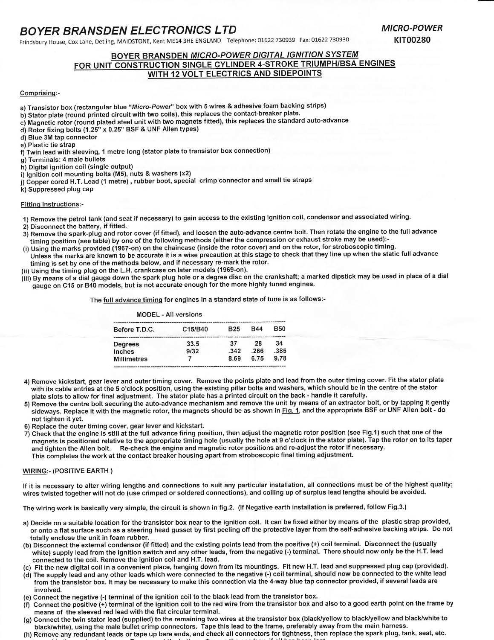## BOYER BRANSDEN ELECTRONICS LTD

Frindsbury House, cox Lane, Detling, MAIDSTONE, Kent ME14 3HE ENGLAND Telephone: 01622 730939 Fax: 01622 730930

# BOYER BRANSDEN MICRO-POWER DIGITAL IGNITION SYSTEM<br>FOR UNIT CONSTRUCTION SINGLE CYLINDER 4-STROKE TRIUMPHIBSA ENGINES WITH 12 VOLT ELECTRICS AND SIDEPOINTS

### comprisinq:-

- a) Transistor box (rectangular blue "Micro-Power" box with 5 wires & adhesive foam backing strips)
- b) Stator plate (round printed circuit with two coils), this replaces the contact-breaker plate.
- c) Magnetic rotor (round plated steel unit with two magnets fitted), this replaces the standard auto-advance
- d) Rotor fixing bolts (1.25" x 0.25" BSF & UNF Allen types)

d) Blue 3M tap connector

e) Plastic tie strap

f) Twin lead with sleeving, 1 metre long (stator plate to transistor box connection)

g) Terminals:4 male bullets

h) Digital ignition coil (single output)

- i) lgnition coil mounting bolts (M5), nuts & washers (x2)
- j) Copper cored H.T. Lead (1 metre) , rubber boot, special  $\,$  crimp connector and small tie straps

k) Suppressed plug cap

#### Fittinq instructions:-

1) Remove the petrol tank (and seat if necessary) to gain access to the existing ignition coil, condensor and associated wiring.

- 2) Disconnect the battery, if fifted.
- 3) Remove the spark-plug and rotor cover (if fitted), and loosen the auto-advance centre bolt. Then rotate the engine to the full advance timing position (see table) by one of the following methods (either the compression or exhaust stroke may be used):-<br>(i) Using the marks provided (1967-on) on the chaincase (inside the rotor cover) and on the rotor, for st
- 
- Unless the marks are known to be accurate it is a wise precaution at this stage to check that they line up when the static full advance timing is set by one of the methods below, and if necessary re-mark the rotor.
- (ii) Using the timing plug on the L.H. crankcase on later models ('1969-on).
- In boing the timing play on the anniverance of the market disc on the crankshaft; a marked dipstick may be used in place of a dial<br>(iii) By means of a dial gauge down the spark plug hole or a degree disc on the crankshaft; gauge on C15 or B40 models, but is not accurate enough for the more highly tuned engines.

The full advance timing for engines in a standard state of tune is as follows:-

|                    | <b>MODEL - All versions</b> |            |            |            |
|--------------------|-----------------------------|------------|------------|------------|
| Before T.D.C.      | C15/B40                     | <b>B25</b> | <b>B44</b> | <b>B50</b> |
| Degrees            | 33.5                        | 37         | 28         | 34         |
| Inches             | 9/32                        | .342       | .266       | .385       |
| <b>Millimetres</b> |                             | 8.69       | 6.75       | 9.78       |

- 4) Remove kickstart, gear lever and outer timing cover. Remove the points plate and lead from the outer timing cover. Fit the stator plate with its cable entries at the 5 o'clock position, using the existing pillar bolts and washers, which should be in the centre of the stator plate slots to allow for final adjustment. The stator plate has a printed circuit on the back - handle it carefully.
- 5) Remove the centre bolt securing the auto-advance mechanism and remove the unit by means of an extractor bolt, or by tapping it gently sideways. Replace it with the magnetic rotor, the magnets should be as shown in Fig. 1, and the appropriate BSF or UNF Allen bolt - do not tighten it yet.

6) Replace the outer timing cover, gear lever and kickstart.

7) Check that the engine is still at the full advance firing position, then adjust the magnetic rotor position (see Fig.1) such that one of the magnets is positioned relative to the appropriate timing hole (usually the hole at 9 o'clock in the stator plate). Tap the rotor on to its taper and tighten the Allen bolt. Re-check the engine and magnetic rotor positions and re-adjust the rotor if necessary. This completes the work at the contact breaker housing apart from stroboscopic final timing adjustment.

#### WIRING:- (POSITIVE EARTH)

lf it is necessary to alter wiring lengths and connections to suit any particular installation, all connections must be of the highest quality; wires twisted together will not do (use crimped or soldered connections), and coiling up of surplus lead lengths should be avoided.

The wiring work is basically very simple, the circuit is shown in fig.2. (lf Negative earth installation is preferred, follow Fig.3.)

- a) Decide on a suitable location for the transistor box near to the ignition coil. lt can be fixed either by means of the plastic strap provided, or onto a flat surface such as a steering head gusset by first peeling off the protective layer from the self-adhesive backing strips. Oo nol totally enclose the unit in foam rubber.
- (b) Disconnect the external condensor (if fitted) and the existing points lead from the positive (+) coil terminal. Disconnect the (usually white) supply lead from the ignition switch and any other leads, from the negative (-) terminal. There should now only be the H.T. lead connected to the coil. Remove the ignition coil and H.T. lead
- (c) Fit the new digital coil in a convenient place, hanging down from its mountings. Fit new H.T. lead and suppressed plug cap (provided).
- (d) The supply lead and any other leads which were connected to the negative (-) coil terminal, should now be connected to the white lead from the transistor box. lt may be necessary to make this connection via the 4-way blue tap connector provided, if several leads are involved.
- Connect the negative (-) terminal of the ignition coil to the black lead from the transistor box.
- (t) Connect the positive (+) terminal of the ignition coil to the red wire from the transistor box and also to a good earth point on the frame by means of the sleeved red lead with the flat circular terminal.
- (g) Connect the twin stator lead (supplied) to the remaining two wires at the transistor box (black/yellow to black/yellow and black/white to black/white), using the male bullet crimp connectors. Tape this lead to the frame, preferably away from the main harness.
- (h) Remove any redundant leads or tape up bare ends, and check all connectors for tightness, then replace the spark plug, tank, seat, etc.